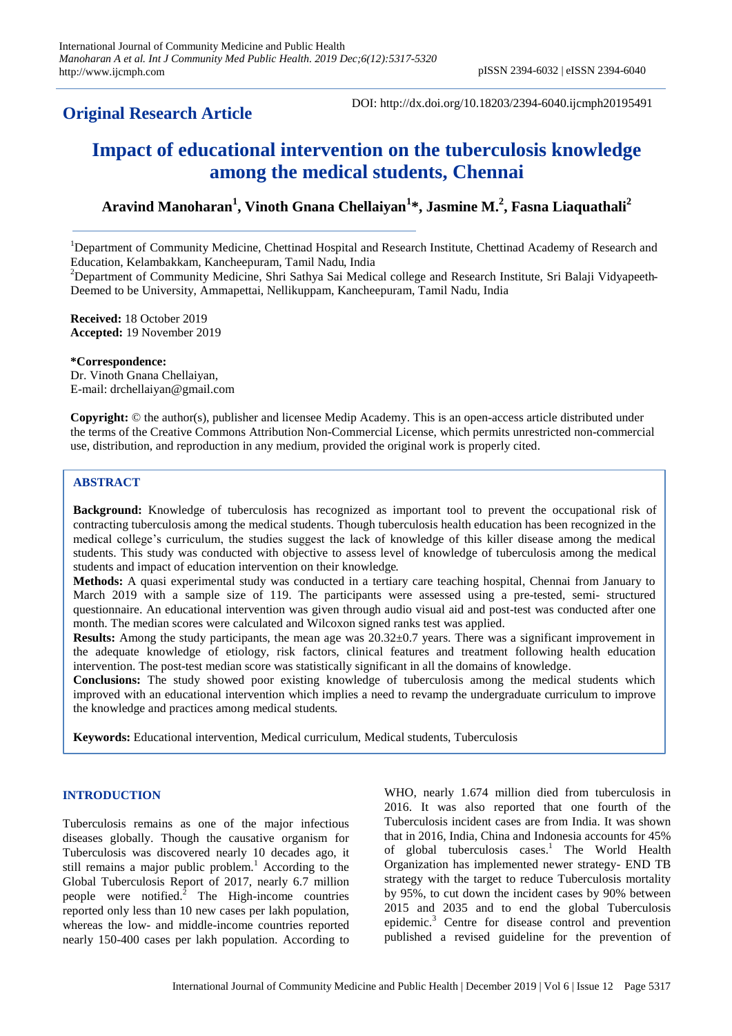# **Original Research Article**

DOI: http://dx.doi.org/10.18203/2394-6040.ijcmph20195491

# **Impact of educational intervention on the tuberculosis knowledge among the medical students, Chennai**

# **Aravind Manoharan<sup>1</sup> , Vinoth Gnana Chellaiyan<sup>1</sup> \*, Jasmine M. 2 , Fasna Liaquathali<sup>2</sup>**

<sup>1</sup>Department of Community Medicine, Chettinad Hospital and Research Institute, Chettinad Academy of Research and Education, Kelambakkam, Kancheepuram, Tamil Nadu, India

<sup>2</sup>Department of Community Medicine, Shri Sathya Sai Medical college and Research Institute, Sri Balaji Vidyapeeth-Deemed to be University, Ammapettai, Nellikuppam, Kancheepuram, Tamil Nadu, India

**Received:** 18 October 2019 **Accepted:** 19 November 2019

**\*Correspondence:** Dr. Vinoth Gnana Chellaiyan,

E-mail: drchellaiyan@gmail.com

**Copyright:** © the author(s), publisher and licensee Medip Academy. This is an open-access article distributed under the terms of the Creative Commons Attribution Non-Commercial License, which permits unrestricted non-commercial use, distribution, and reproduction in any medium, provided the original work is properly cited.

# **ABSTRACT**

**Background:** Knowledge of tuberculosis has recognized as important tool to prevent the occupational risk of contracting tuberculosis among the medical students. Though tuberculosis health education has been recognized in the medical college's curriculum, the studies suggest the lack of knowledge of this killer disease among the medical students. This study was conducted with objective to assess level of knowledge of tuberculosis among the medical students and impact of education intervention on their knowledge.

**Methods:** A quasi experimental study was conducted in a tertiary care teaching hospital, Chennai from January to March 2019 with a sample size of 119. The participants were assessed using a pre-tested, semi- structured questionnaire. An educational intervention was given through audio visual aid and post-test was conducted after one month. The median scores were calculated and Wilcoxon signed ranks test was applied.

**Results:** Among the study participants, the mean age was 20.32±0.7 years. There was a significant improvement in the adequate knowledge of etiology, risk factors, clinical features and treatment following health education intervention. The post-test median score was statistically significant in all the domains of knowledge.

**Conclusions:** The study showed poor existing knowledge of tuberculosis among the medical students which improved with an educational intervention which implies a need to revamp the undergraduate curriculum to improve the knowledge and practices among medical students.

**Keywords:** Educational intervention, Medical curriculum, Medical students, Tuberculosis

# **INTRODUCTION**

Tuberculosis remains as one of the major infectious diseases globally. Though the causative organism for Tuberculosis was discovered nearly 10 decades ago, it still remains a major public problem.<sup>1</sup> According to the Global Tuberculosis Report of 2017, nearly 6.7 million people were notified. $\overline{2}$  The High-income countries reported only less than 10 new cases per lakh population, whereas the low- and middle-income countries reported nearly 150-400 cases per lakh population. According to

WHO, nearly 1.674 million died from tuberculosis in 2016. It was also reported that one fourth of the Tuberculosis incident cases are from India. It was shown that in 2016, India, China and Indonesia accounts for 45% of global tuberculosis cases.<sup>1</sup> The World Health Organization has implemented newer strategy- END TB strategy with the target to reduce Tuberculosis mortality by 95%, to cut down the incident cases by 90% between 2015 and 2035 and to end the global Tuberculosis epidemic.<sup>3</sup> Centre for disease control and prevention published a revised guideline for the prevention of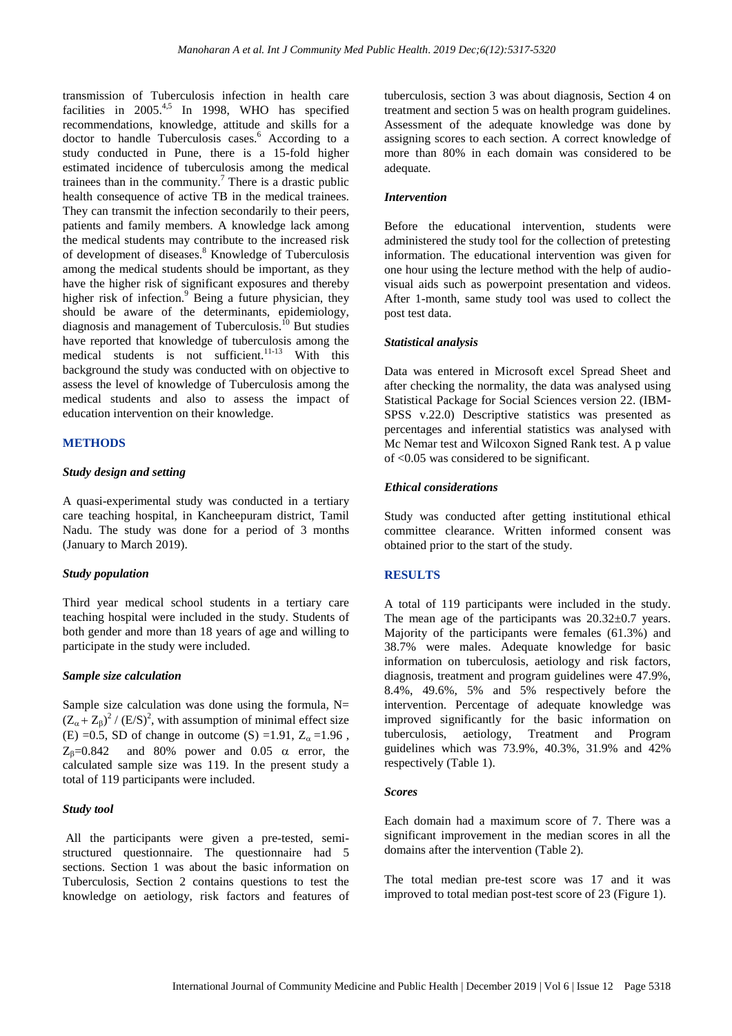transmission of Tuberculosis infection in health care facilities in  $2005^{4.5}$  In 1998, WHO has specified recommendations, knowledge, attitude and skills for a doctor to handle Tuberculosis cases.<sup>6</sup> According to a study conducted in Pune, there is a 15-fold higher estimated incidence of tuberculosis among the medical trainees than in the community.<sup>7</sup> There is a drastic public health consequence of active TB in the medical trainees. They can transmit the infection secondarily to their peers, patients and family members. A knowledge lack among the medical students may contribute to the increased risk of development of diseases.<sup>8</sup> Knowledge of Tuberculosis among the medical students should be important, as they have the higher risk of significant exposures and thereby higher risk of infection.<sup>9</sup> Being a future physician, they should be aware of the determinants, epidemiology, diagnosis and management of Tuberculosis.<sup>10</sup> But studies have reported that knowledge of tuberculosis among the medical students is not sufficient.<sup>11-13</sup> With this background the study was conducted with on objective to assess the level of knowledge of Tuberculosis among the medical students and also to assess the impact of education intervention on their knowledge.

#### **METHODS**

#### *Study design and setting*

A quasi-experimental study was conducted in a tertiary care teaching hospital, in Kancheepuram district, Tamil Nadu. The study was done for a period of 3 months (January to March 2019).

#### *Study population*

Third year medical school students in a tertiary care teaching hospital were included in the study. Students of both gender and more than 18 years of age and willing to participate in the study were included.

#### *Sample size calculation*

Sample size calculation was done using the formula,  $N=$  $(Z_{\alpha} + Z_{\beta})^2 / (E/S)^2$ , with assumption of minimal effect size (E) =0.5, SD of change in outcome (S) =1.91,  $Z_{\alpha}$  =1.96,  $Z_B=0.842$  and 80% power and 0.05  $\alpha$  error, the calculated sample size was 119. In the present study a total of 119 participants were included.

#### *Study tool*

All the participants were given a pre-tested, semistructured questionnaire. The questionnaire had 5 sections. Section 1 was about the basic information on Tuberculosis, Section 2 contains questions to test the knowledge on aetiology, risk factors and features of

tuberculosis, section 3 was about diagnosis, Section 4 on treatment and section 5 was on health program guidelines. Assessment of the adequate knowledge was done by assigning scores to each section. A correct knowledge of more than 80% in each domain was considered to be adequate.

#### *Intervention*

Before the educational intervention, students were administered the study tool for the collection of pretesting information. The educational intervention was given for one hour using the lecture method with the help of audiovisual aids such as powerpoint presentation and videos. After 1-month, same study tool was used to collect the post test data.

## *Statistical analysis*

Data was entered in Microsoft excel Spread Sheet and after checking the normality, the data was analysed using Statistical Package for Social Sciences version 22. (IBM-SPSS v.22.0) Descriptive statistics was presented as percentages and inferential statistics was analysed with Mc Nemar test and Wilcoxon Signed Rank test. A p value of <0.05 was considered to be significant.

#### *Ethical considerations*

Study was conducted after getting institutional ethical committee clearance. Written informed consent was obtained prior to the start of the study.

#### **RESULTS**

A total of 119 participants were included in the study. The mean age of the participants was  $20.32 \pm 0.7$  years. Majority of the participants were females (61.3%) and 38.7% were males. Adequate knowledge for basic information on tuberculosis, aetiology and risk factors, diagnosis, treatment and program guidelines were 47.9%, 8.4%, 49.6%, 5% and 5% respectively before the intervention. Percentage of adequate knowledge was improved significantly for the basic information on tuberculosis, aetiology, Treatment and Program guidelines which was 73.9%, 40.3%, 31.9% and 42% respectively (Table 1).

#### *Scores*

Each domain had a maximum score of 7. There was a significant improvement in the median scores in all the domains after the intervention (Table 2).

The total median pre-test score was 17 and it was improved to total median post-test score of 23 (Figure 1).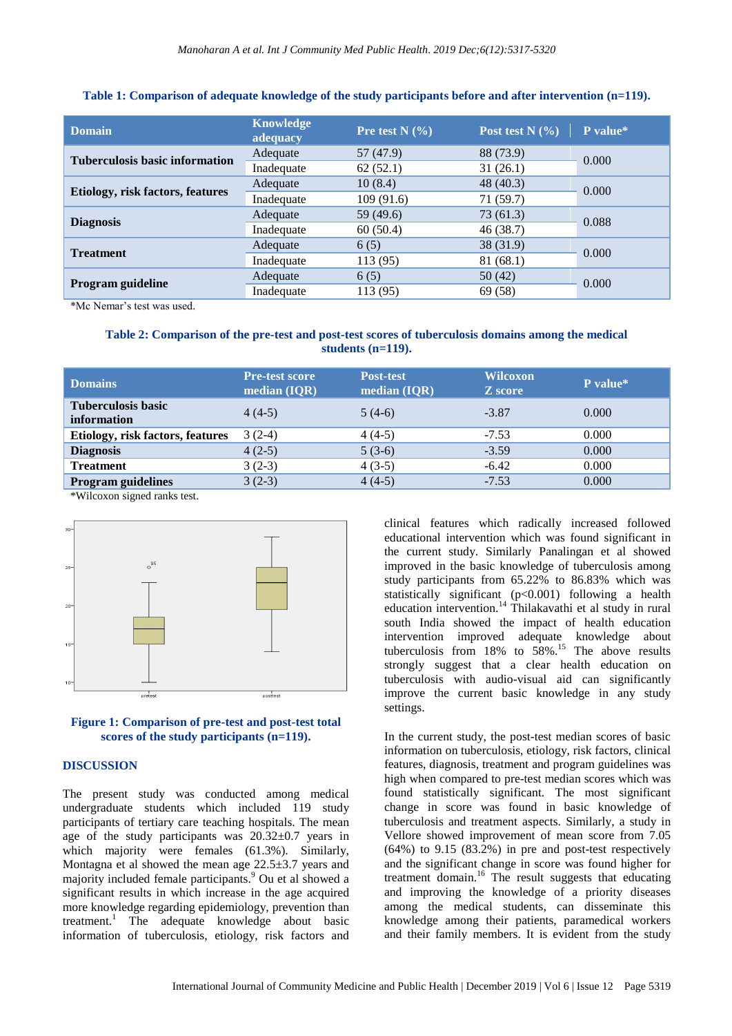| <b>Domain</b>                         | Knowledge<br>adequacy | Pre test $N$ (%) | Post test $N$ $(\% )$ | P value* |
|---------------------------------------|-----------------------|------------------|-----------------------|----------|
| <b>Tuberculosis basic information</b> | Adequate              | 57(47.9)         | 88 (73.9)             | 0.000    |
|                                       | Inadequate            | 62(52.1)         | 31(26.1)              |          |
| Etiology, risk factors, features      | Adequate              | 10(8.4)          | 48 (40.3)             | 0.000    |
|                                       | Inadequate            | 109(91.6)        | 71 (59.7)             |          |
| <b>Diagnosis</b>                      | Adequate              | 59 (49.6)        | 73(61.3)              | 0.088    |
|                                       | Inadequate            | 60(50.4)         | 46 (38.7)             |          |
| <b>Treatment</b>                      | Adequate              | 6(5)             | 38 (31.9)             | 0.000    |
|                                       | Inadequate            | 113(95)          | 81 (68.1)             |          |
| Program guideline                     | Adequate              | 6(5)             | 50(42)                | 0.000    |
|                                       | Inadequate            | 113 (95)         | 69 (58)               |          |

## **Table 1: Comparison of adequate knowledge of the study participants before and after intervention (n=119).**

\*Mc Nemar's test was used.

### **Table 2: Comparison of the pre-test and post-test scores of tuberculosis domains among the medical students (n=119).**

| <b>Domains</b>                           | <b>Pre-test score</b><br>median (IQR) | <b>Post-test</b><br>median $(IQR)$ | <b>Wilcoxon</b><br>Z score | P value* |
|------------------------------------------|---------------------------------------|------------------------------------|----------------------------|----------|
| <b>Tuberculosis basic</b><br>information | $4(4-5)$                              | $5(4-6)$                           | $-3.87$                    | 0.000    |
| Etiology, risk factors, features         | $3(2-4)$                              | $4(4-5)$                           | $-7.53$                    | 0.000    |
| <b>Diagnosis</b>                         | $4(2-5)$                              | $5(3-6)$                           | $-3.59$                    | 0.000    |
| <b>Treatment</b>                         | $3(2-3)$                              | $4(3-5)$                           | $-6.42$                    | 0.000    |
| <b>Program guidelines</b>                | $3(2-3)$                              | $4(4-5)$                           | $-7.53$                    | 0.000    |

\*Wilcoxon signed ranks test.





#### **DISCUSSION**

The present study was conducted among medical undergraduate students which included 119 study participants of tertiary care teaching hospitals. The mean age of the study participants was 20.32±0.7 years in which majority were females (61.3%). Similarly, Montagna et al showed the mean age 22.5±3.7 years and majority included female participants. <sup>9</sup> Ou et al showed a significant results in which increase in the age acquired more knowledge regarding epidemiology, prevention than treatment.<sup>1</sup> The adequate knowledge about basic information of tuberculosis, etiology, risk factors and clinical features which radically increased followed educational intervention which was found significant in the current study. Similarly Panalingan et al showed improved in the basic knowledge of tuberculosis among study participants from 65.22% to 86.83% which was statistically significant (p<0.001) following a health education intervention.<sup>14</sup> Thilakavathi et al study in rural south India showed the impact of health education intervention improved adequate knowledge about tuberculosis from  $18\%$  to  $58\%$ .<sup>15</sup> The above results strongly suggest that a clear health education on tuberculosis with audio-visual aid can significantly improve the current basic knowledge in any study settings.

In the current study, the post-test median scores of basic information on tuberculosis, etiology, risk factors, clinical features, diagnosis, treatment and program guidelines was high when compared to pre-test median scores which was found statistically significant. The most significant change in score was found in basic knowledge of tuberculosis and treatment aspects. Similarly, a study in Vellore showed improvement of mean score from 7.05 (64%) to 9.15 (83.2%) in pre and post-test respectively and the significant change in score was found higher for treatment domain.<sup>16</sup> The result suggests that educating and improving the knowledge of a priority diseases among the medical students, can disseminate this knowledge among their patients, paramedical workers and their family members. It is evident from the study